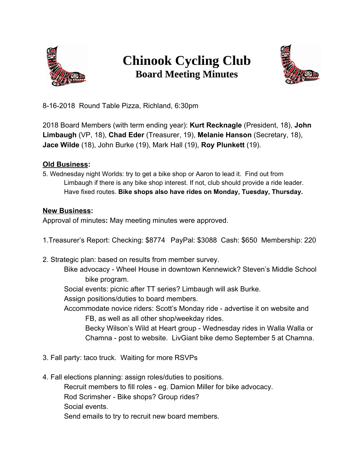

## **Chinook Cycling Club Board Meeting Minutes**



8-16-2018 Round Table Pizza, Richland, 6:30pm

2018 Board Members (with term ending year): **Kurt Recknagle** (President, 18), **John Limbaugh** (VP, 18), **Chad Eder** (Treasurer, 19), **Melanie Hanson** (Secretary, 18), **Jace Wilde** (18), John Burke (19), Mark Hall (19), **Roy Plunkett** (19).

## **Old Business:**

5. Wednesday night Worlds: try to get a bike shop or Aaron to lead it. Find out from Limbaugh if there is any bike shop interest. If not, club should provide a ride leader. Have fixed routes. **Bike shops also have rides on Monday, Tuesday, Thursday.**

## **New Business:**

Approval of minutes**:** May meeting minutes were approved.

- 1.Treasurer's Report: Checking: \$8774 PayPal: \$3088 Cash: \$650 Membership: 220
- 2. Strategic plan: based on results from member survey.

Bike advocacy - Wheel House in downtown Kennewick? Steven's Middle School bike program.

Social events: picnic after TT series? Limbaugh will ask Burke.

Assign positions/duties to board members.

Accommodate novice riders: Scott's Monday ride - advertise it on website and FB, as well as all other shop/weekday rides.

Becky Wilson's Wild at Heart group - Wednesday rides in Walla Walla or Chamna - post to website. LivGiant bike demo September 5 at Chamna.

- 3. Fall party: taco truck. Waiting for more RSVPs
- 4. Fall elections planning: assign roles/duties to positions. Recruit members to fill roles - eg. Damion Miller for bike advocacy. Rod Scrimsher - Bike shops? Group rides? Social events. Send emails to try to recruit new board members.